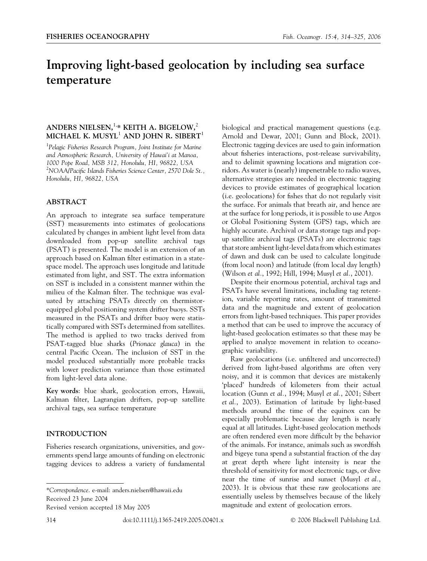# Improving light-based geolocation by including sea surface temperature

# ANDERS NIELSEN,<sup>1,\*</sup> KEITH A. BIGELOW,<sup>2</sup> MICHAEL K. MUSYL<sup>1</sup> AND JOHN R. SIBERT<sup>1</sup>

<sup>1</sup> Pelagic Fisheries Research Program, Joint Institute for Marine and Atmospheric Research, University of Hawai'i at Manoa, 1000 Pope Road, MSB 312, Honolulu, HI, 96822, USA <sup>2</sup>NOAA/Pacific Islands Fisheries Science Center, 2570 Dole St., Honolulu, HI, 96822, USA

# ABSTRACT

An approach to integrate sea surface temperature (SST) measurements into estimates of geolocations calculated by changes in ambient light level from data downloaded from pop-up satellite archival tags (PSAT) is presented. The model is an extension of an approach based on Kalman filter estimation in a statespace model. The approach uses longitude and latitude estimated from light, and SST. The extra information on SST is included in a consistent manner within the milieu of the Kalman filter. The technique was evaluated by attaching PSATs directly on thermistorequipped global positioning system drifter buoys. SSTs measured in the PSATs and drifter buoy were statistically compared with SSTs determined from satellites. The method is applied to two tracks derived from PSAT-tagged blue sharks (Prionace glauca) in the central Pacific Ocean. The inclusion of SST in the model produced substantially more probable tracks with lower prediction variance than those estimated from light-level data alone.

Key words: blue shark, geolocation errors, Hawaii, Kalman filter, Lagrangian drifters, pop-up satellite archival tags, sea surface temperature

# INTRODUCTION

Fisheries research organizations, universities, and governments spend large amounts of funding on electronic tagging devices to address a variety of fundamental

\*Correspondence. e-mail: anders.nielsen@hawaii.edu Received 23 June 2004

Revised version accepted 18 May 2005

biological and practical management questions (e.g. Arnold and Dewar, 2001; Gunn and Block, 2001). Electronic tagging devices are used to gain information about fisheries interactions, post-release survivability, and to delimit spawning locations and migration corridors. As water is (nearly) impenetrable to radio waves, alternative strategies are needed in electronic tagging devices to provide estimates of geographical location (i.e. geolocations) for fishes that do not regularly visit the surface. For animals that breath air, and hence are at the surface for long periods, it is possible to use Argos or Global Positioning System (GPS) tags, which are highly accurate. Archival or data storage tags and popup satellite archival tags (PSATs) are electronic tags that store ambient light-level data from which estimates of dawn and dusk can be used to calculate longitude (from local noon) and latitude (from local day length) (Wilson et al., 1992; Hill, 1994; Musyl et al., 2001).

Despite their enormous potential, archival tags and PSATs have several limitations, including tag retention, variable reporting rates, amount of transmitted data and the magnitude and extent of geolocation errors from light-based techniques. This paper provides a method that can be used to improve the accuracy of light-based geolocation estimates so that these may be applied to analyze movement in relation to oceanographic variability.

Raw geolocations (i.e. unfiltered and uncorrected) derived from light-based algorithms are often very noisy, and it is common that devices are mistakenly 'placed' hundreds of kilometers from their actual location (Gunn et al., 1994; Musyl et al., 2001; Sibert et al., 2003). Estimation of latitude by light-based methods around the time of the equinox can be especially problematic because day length is nearly equal at all latitudes. Light-based geolocation methods are often rendered even more difficult by the behavior of the animals. For instance, animals such as swordfish and bigeye tuna spend a substantial fraction of the day at great depth where light intensity is near the threshold of sensitivity for most electronic tags, or dive near the time of sunrise and sunset (Musyl et al., 2003). It is obvious that these raw geolocations are essentially useless by themselves because of the likely magnitude and extent of geolocation errors.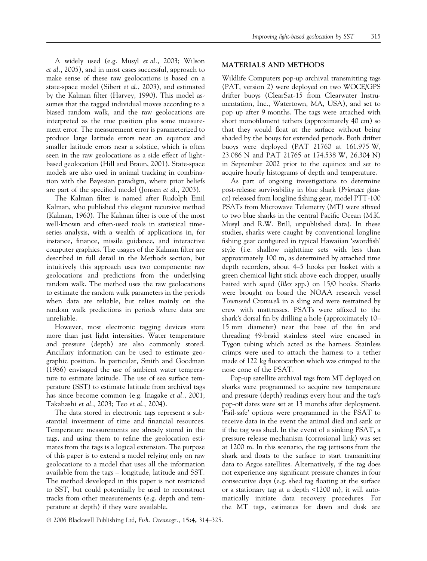A widely used (e.g. Musyl et al., 2003; Wilson et al., 2005), and in most cases successful, approach to make sense of these raw geolocations is based on a state-space model (Sibert et al., 2003), and estimated by the Kalman filter (Harvey, 1990). This model assumes that the tagged individual moves according to a biased random walk, and the raw geolocations are interpreted as the true position plus some measurement error. The measurement error is parameterized to produce large latitude errors near an equinox and smaller latitude errors near a solstice, which is often seen in the raw geolocations as a side effect of lightbased geolocation (Hill and Braun, 2001). State-space models are also used in animal tracking in combination with the Bayesian paradigm, where prior beliefs are part of the specified model (Jonsen et al., 2003).

The Kalman filter is named after Rudolph Emil Kalman, who published this elegant recursive method (Kalman, 1960). The Kalman filter is one of the most well-known and often-used tools in statistical timeseries analysis, with a wealth of applications in, for instance, finance, missile guidance, and interactive computer graphics. The usages of the Kalman filter are described in full detail in the Methods section, but intuitively this approach uses two components: raw geolocations and predictions from the underlying random walk. The method uses the raw geolocations to estimate the random walk parameters in the periods when data are reliable, but relies mainly on the random walk predictions in periods where data are unreliable.

However, most electronic tagging devices store more than just light intensities. Water temperature and pressure (depth) are also commonly stored. Ancillary information can be used to estimate geographic position. In particular, Smith and Goodman (1986) envisaged the use of ambient water temperature to estimate latitude. The use of sea surface temperature (SST) to estimate latitude from archival tags has since become common (e.g. Inagake et al., 2001; Takahashi et al., 2003; Teo et al., 2004).

The data stored in electronic tags represent a substantial investment of time and financial resources. Temperature measurements are already stored in the tags, and using them to refine the geolocation estimates from the tags is a logical extension. The purpose of this paper is to extend a model relying only on raw geolocations to a model that uses all the information available from the tags – longitude, latitude and SST. The method developed in this paper is not restricted to SST, but could potentially be used to reconstruct tracks from other measurements (e.g. depth and temperature at depth) if they were available.

#### MATERIALS AND METHODS

Wildlife Computers pop-up archival transmitting tags (PAT, version 2) were deployed on two WOCE/GPS drifter buoys (ClearSat-15 from Clearwater Instrumentation, Inc., Watertown, MA, USA), and set to pop up after 9 months. The tags were attached with short monofilament tethers (approximately 40 cm) so that they would float at the surface without being shaded by the bouys for extended periods. Both drifter buoys were deployed (PAT 21760 at 161.975 W, 23.086 N and PAT 21765 at 174.538 W, 26.304 N) in September 2002 prior to the equinox and set to acquire hourly histograms of depth and temperature.

As part of ongoing investigations to determine post-release survivability in blue shark (Prionace glauca) released from longline fishing gear, model PTT-100 PSATs from Microwave Telemetry (MT) were affixed to two blue sharks in the central Pacific Ocean (M.K. Musyl and R.W. Brill, unpublished data). In these studies, sharks were caught by conventional longline fishing gear configured in typical Hawaiian 'swordfish' style (i.e. shallow nighttime sets with less than approximately 100 m, as determined by attached time depth recorders, about 4–5 hooks per basket with a green chemical light stick above each dropper, usually baited with squid (Illex spp.) on 15/0 hooks. Sharks were brought on board the NOAA research vessel Townsend Cromwell in a sling and were restrained by crew with mattresses. PSATs were affixed to the shark's dorsal fin by drilling a hole (approximately 10– 15 mm diameter) near the base of the fin and threading 49-braid stainless steel wire encased in Tygon tubing which acted as the harness. Stainless crimps were used to attach the harness to a tether made of 122 kg fluorocarbon which was crimped to the nose cone of the PSAT.

Pop-up satellite archival tags from MT deployed on sharks were programmed to acquire raw temperature and pressure (depth) readings every hour and the tag's pop-off dates were set at 13 months after deployment. 'Fail-safe' options were programmed in the PSAT to receive data in the event the animal died and sank or if the tag was shed. In the event of a sinking PSAT, a pressure release mechanism (corrosional link) was set at 1200 m. In this scenario, the tag jettisons from the shark and floats to the surface to start transmitting data to Argos satellites. Alternatively, if the tag does not experience any significant pressure changes in four consecutive days (e.g. shed tag floating at the surface or a stationary tag at a depth <1200 m), it will automatically initiate data recovery procedures. For the MT tags, estimates for dawn and dusk are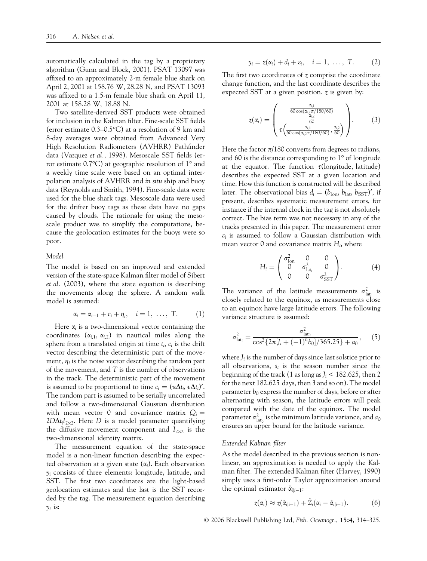automatically calculated in the tag by a proprietary algorithm (Gunn and Block, 2001). PSAT 13097 was affixed to an approximately 2-m female blue shark on April 2, 2001 at 158.76 W, 28.28 N, and PSAT 13093 was affixed to a 1.5-m female blue shark on April 11, 2001 at 158.28 W, 18.88 N.

Two satellite-derived SST products were obtained for inclusion in the Kalman filter. Fine-scale SST fields (error estimate 0.3–0.5°C) at a resolution of 9 km and 8-day averages were obtained from Advanced Very High Resolution Radiometers (AVHRR) Pathfinder data (Vazquez et al., 1998). Mesoscale SST fields (error estimate 0.7°C) at geographic resolution of 1° and a weekly time scale were based on an optimal interpolation analysis of AVHRR and in situ ship and buoy data (Reynolds and Smith, 1994). Fine-scale data were used for the blue shark tags. Mesoscale data were used for the drifter buoy tags as these data have no gaps caused by clouds. The rationale for using the mesoscale product was to simplify the computations, because the geolocation estimates for the buoys were so poor.

#### Model

The model is based on an improved and extended version of the state-space Kalman filter model of Sibert et al. (2003), where the state equation is describing the movements along the sphere. A random walk model is assumed:

$$
\alpha_i = \alpha_{i-1} + c_i + \eta_i, \quad i = 1, \ldots, T. \qquad (1)
$$

Here  $\alpha_i$  is a two-dimensional vector containing the coordinates  $(\alpha_{i,1}, \alpha_{i,2})$  in nautical miles along the sphere from a translated origin at time  $t_i$ ,  $c_i$  is the drift vector describing the deterministic part of the movement,  $\eta_i$  is the noise vector describing the random part of the movement, and  $T$  is the number of observations in the track. The deterministic part of the movement is assumed to be proportional to time  $c_i = (u\Delta t_i, v\Delta t_i)'$ . The random part is assumed to be serially uncorrelated and follow a two-dimensional Gaussian distribution with mean vector 0 and covariance matrix  $Q_i =$ 2D $\Delta t_i I_{2\times 2}$ . Here D is a model parameter quantifying the diffusive movement component and  $I_{2\times 2}$  is the two-dimensional identity matrix.

The measurement equation of the state-space model is a non-linear function describing the expected observation at a given state  $(\alpha_i)$ . Each observation  $y_i$  consists of three elements: longitude, latitude, and SST. The first two coordinates are the light-based geolocation estimates and the last is the SST recorded by the tag. The measurement equation describing  $y_i$  is:

$$
y_i = z(\alpha_i) + d_i + \varepsilon_i, \quad i = 1, \ldots, T.
$$
 (2)

The first two coordinates of z comprise the coordinate change function, and the last coordinate describes the expected SST at a given position.  $\zeta$  is given by:

$$
z(\alpha_i) = \begin{pmatrix} \frac{\alpha_{i,1}}{60 \cos(\alpha_{i,2} \pi/180/60)} \\ \frac{\alpha_{i,2}}{60} \\ \tau \left( \frac{\alpha_{i,1}}{60 \cos(\alpha_{i,2} \pi/180/60)}, \frac{\alpha_{i,2}}{60} \right) \end{pmatrix} .
$$
 (3)

Here the factor  $\pi/180$  converts from degrees to radians, and 60 is the distance corresponding to  $1^{\circ}$  of longitude at the equator. The function  $\tau$ (longitude, latitude) describes the expected SST at a given location and time. How this function is constructed will be described later. The observational bias  $d_i = (b_{\text{lon}}, b_{\text{lat}}, b_{\text{SST}})'$ , if present, describes systematic measurement errors, for instance if the internal clock in the tag is not absolutely correct. The bias term was not necessary in any of the tracks presented in this paper. The measurement error  $\varepsilon_i$  is assumed to follow a Gaussian distribution with mean vector 0 and covariance matrix  $H_i$ , where

$$
H_i = \begin{pmatrix} \sigma_{\text{lon}}^2 & 0 & 0 \\ 0 & \sigma_{\text{lat}_i}^2 & 0 \\ 0 & 0 & \sigma_{\text{SST}}^2 \end{pmatrix} . \tag{4}
$$

The variance of the latitude measurements  $\sigma_{\text{lat}_i}^2$  is closely related to the equinox, as measurements close to an equinox have large latitude errors. The following variance structure is assumed:

$$
\sigma_{\text{lat}_i}^2 = \frac{\sigma_{\text{lat}_0}^2}{\cos^2\{2\pi [J_i + (-1)^{s_i} b_0]/365.25\} + a_0},\qquad(5)
$$

where  $J_i$  is the number of days since last solstice prior to all observations,  $s_i$  is the season number since the beginning of the track (1 as long as  $J_i < 182.625$ , then 2 for the next 182.625 days, then 3 and so on). The model parameter  $b_0$  express the number of days, before or after alternating with season, the latitude errors will peak compared with the date of the equinox. The model parameter  $\sigma_{\rm lat_0}^2$  is the minimum latitude variance, and  $a_0$ ensures an upper bound for the latitude variance.

#### Extended Kalman filter

As the model described in the previous section is nonlinear, an approximation is needed to apply the Kalman filter. The extended Kalman filter (Harvey, 1990) simply uses a first-order Taylor approximation around the optimal estimator  $\hat{\alpha}_{i|i-1}$ :

$$
z(\alpha_i) \approx z(\hat{\alpha}_{i|i-1}) + \hat{Z}_i(\alpha_i - \hat{\alpha}_{i|i-1}). \tag{6}
$$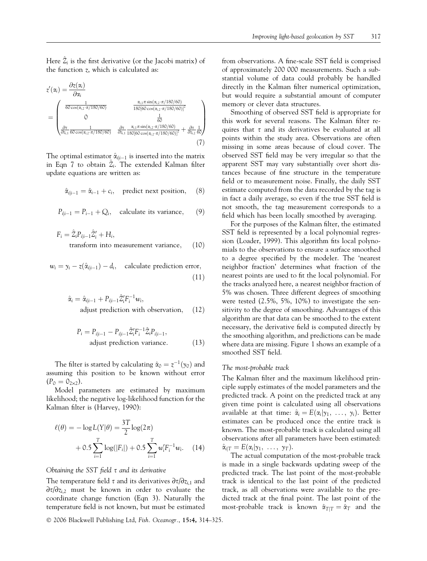Here  $\hat{Z}_i$  is the first derivative (or the Jacobi matrix) of the function  $z$ , which is calculated as:

$$
\begin{split} z'(\alpha_{i}) &= \frac{\partial z(\alpha_{i})}{\partial \alpha_{i}} \\ &= \begin{pmatrix} \frac{1}{60\cos(\alpha_{i,2} \cdot \pi/180/60)} & \frac{\alpha_{i,1}\pi\sin(\alpha_{i,2} \cdot \pi/180/60)}{180[60\cos(\alpha_{i,2} \cdot \pi/180/60)]^{2}} \\ 0 & \frac{1}{60} \\ \frac{\partial \tau}{\partial z_{i,1}} \frac{1}{60\cos(\alpha_{i,2} \cdot \pi/180/60)} & \frac{\partial \tau}{\partial z_{i,1}} \frac{\alpha_{i,1}\pi\sin(\alpha_{i,2} \cdot \pi/180/60)}{180[60\cos(\alpha_{i,2} \cdot \pi/180/60)]^{2}} + \frac{\partial \tau}{\partial z_{i,2}} \frac{1}{60} \end{pmatrix} \end{split} \tag{7}
$$

The optimal estimator  $\hat{\alpha}_{i|i-1}$  is inserted into the matrix in Eqn 7 to obtain  $\hat{Z}_i$ . The extended Kalman filter update equations are written as:

$$
\hat{\alpha}_{i|i-1} = \hat{\alpha}_{i-1} + c_i, \quad \text{predict next position,} \quad (8)
$$

$$
P_{i|i-1} = P_{i-1} + Q_i, \quad \text{calculate its variance}, \quad (9)
$$

$$
F_i = \hat{Z}_i P_{i|i-1} \hat{Z}'_i + H_i,
$$
  
transform into measurement variance, (10)

$$
w_i = y_i - z(\hat{\alpha}_{i|i-1}) - d_i, \quad \text{calculate prediction error}, \tag{11}
$$

$$
\hat{\alpha}_i = \hat{\alpha}_{i|i-1} + P_{i|i-1} \hat{Z}_i' F_i^{-1} w_i,
$$
  
adjust prediction with observation, (12)

$$
P_i = P_{i|i-1} - P_{i|i-1} \hat{Z}_i' F_i^{-1} \hat{Z}_i P_{i|i-1},
$$
  
adjust prediction variance. (13)

The filter is started by calculating  $\hat{\alpha}_0 = z^{-1}(y_0)$  and assuming this position to be known without error  $(P_0 = 0_{2 \times 2}).$ 

Model parameters are estimated by maximum likelihood; the negative log-likelihood function for the Kalman filter is (Harvey, 1990):

$$
\ell(\theta) = -\log L(Y|\theta) = \frac{3T}{2}\log(2\pi) + 0.5\sum_{i=1}^{T} \log(|F_i|) + 0.5\sum_{i=1}^{T} w_i' F_i^{-1} w_i.
$$
 (14)

## Obtaining the SST field  $\tau$  and its derivative

The temperature field  $\tau$  and its derivatives  $\frac{\partial \tau}{\partial z_{i,1}}$  and  $\frac{\partial \tau}{\partial z_{i,2}}$  must be known in order to evaluate the coordinate change function (Eqn 3). Naturally the temperature field is not known, but must be estimated

2006 Blackwell Publishing Ltd, Fish. Oceanogr., 15:4, 314–325.

from observations. A fine-scale SST field is comprised of approximately 200 000 measurements. Such a substantial volume of data could probably be handled directly in the Kalman filter numerical optimization, but would require a substantial amount of computer memory or clever data structures.

Smoothing of observed SST field is appropriate for this work for several reasons. The Kalman filter requires that  $\tau$  and its derivatives be evaluated at all points within the study area. Observations are often missing in some areas because of cloud cover. The observed SST field may be very irregular so that the apparent SST may vary substantially over short distances because of fine structure in the temperature field or to measurement noise. Finally, the daily SST estimate computed from the data recorded by the tag is in fact a daily average, so even if the true SST field is not smooth, the tag measurement corresponds to a field which has been locally smoothed by averaging.

For the purposes of the Kalman filter, the estimated SST field is represented by a local polynomial regression (Loader, 1999). This algorithm fits local polynomials to the observations to ensure a surface smoothed to a degree specified by the modeler. The 'nearest neighbor fraction' determines what fraction of the nearest points are used to fit the local polynomial. For the tracks analyzed here, a nearest neighbor fraction of 5% was chosen. Three different degrees of smoothing were tested (2.5%, 5%, 10%) to investigate the sensitivity to the degree of smoothing. Advantages of this algorithm are that data can be smoothed to the extent necessary, the derivative field is computed directly by the smoothing algorithm, and predictions can be made where data are missing. Figure 1 shows an example of a smoothed SST field.

#### The most-probable track

The Kalman filter and the maximum likelihood principle supply estimates of the model parameters and the predicted track. A point on the predicted track at any given time point is calculated using all observations available at that time:  $\hat{\alpha}_i = E(\alpha_i|y_1, \ldots, y_i)$ . Better estimates can be produced once the entire track is known. The most-probable track is calculated using all observations after all parameters have been estimated:  $\hat{\alpha}_{i|T} = E(\alpha_i|y_1, \ldots, y_T).$ 

The actual computation of the most-probable track is made in a single backwards updating sweep of the predicted track. The last point of the most-probable track is identical to the last point of the predicted track, as all observations were available to the predicted track at the final point. The last point of the most-probable track is known  $\hat{\alpha}_{T|T} = \hat{\alpha}_T$  and the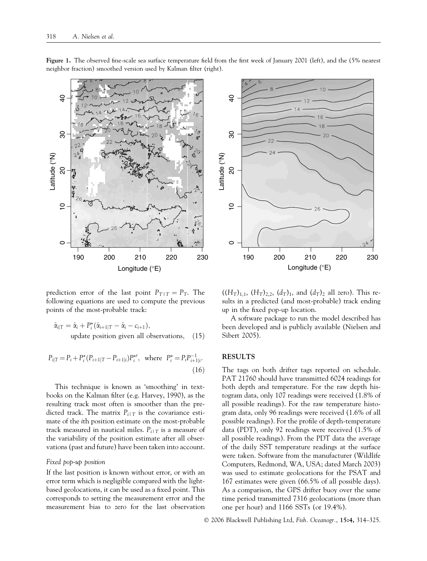

Figure 1. The observed fine-scale sea surface temperature field from the first week of January 2001 (left), and the (5% nearest neighbor fraction) smoothed version used by Kalman filter (right).

prediction error of the last point  $P_{T|T} = P_T$ . The following equations are used to compute the previous points of the most-probable track:

$$
\hat{\alpha}_{i|T} = \hat{\alpha}_i + P_i^*(\hat{\alpha}_{i+1|T} - \hat{\alpha}_i - c_{i+1}),
$$
  
update position given all observations, (15)

$$
P_{i|T} = P_i + P_i^*(P_{i+1|T} - P_{i+1|i})P_i^{*}, \text{ where } P_i^* = P_i P_{i+1|i}^{-1}.
$$
\n(16)

This technique is known as 'smoothing' in textbooks on the Kalman filter (e.g. Harvey, 1990), as the resulting track most often is smoother than the predicted track. The matrix  $P_{i|T}$  is the covariance estimate of the ith position estimate on the most-probable track measured in nautical miles.  $P_{i|T}$  is a measure of the variability of the position estimate after all observations (past and future) have been taken into account.

#### Fixed pop-up position

If the last position is known without error, or with an error term which is negligible compared with the lightbased geolocations, it can be used as a fixed point. This corresponds to setting the measurement error and the measurement bias to zero for the last observation



 $((H_T)_{1,1}, (H_T)_{2,2}, (d_T)_1,$  and  $(d_T)_2$  all zero). This results in a predicted (and most-probable) track ending up in the fixed pop-up location.

A software package to run the model described has been developed and is publicly available (Nielsen and Sibert 2005).

#### RESULTS

The tags on both drifter tags reported on schedule. PAT 21760 should have transmitted 6024 readings for both depth and temperature. For the raw depth histogram data, only 107 readings were received (1.8% of all possible readings). For the raw temperature histogram data, only 96 readings were received (1.6% of all possible readings). For the profile of depth-temperature data (PDT), only 92 readings were received (1.5% of all possible readings). From the PDT data the average of the daily SST temperature readings at the surface were taken. Software from the manufacturer (Wildlife Computers, Redmond, WA, USA; dated March 2003) was used to estimate geolocations for the PSAT and 167 estimates were given (66.5% of all possible days). As a comparison, the GPS drifter buoy over the same time period transmitted 7316 geolocations (more than one per hour) and 1166 SSTs (or 19.4%).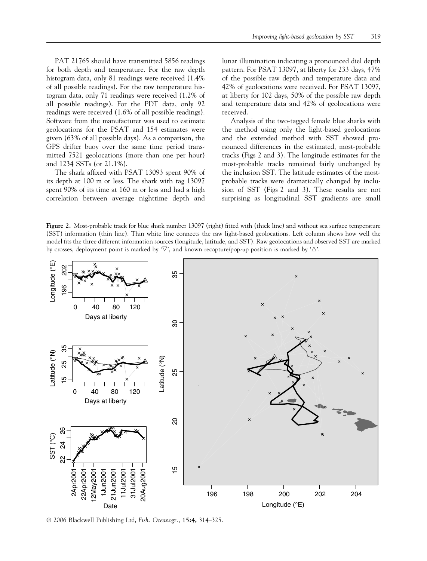PAT 21765 should have transmitted 5856 readings for both depth and temperature. For the raw depth histogram data, only 81 readings were received (1.4% of all possible readings). For the raw temperature histogram data, only 71 readings were received (1.2% of all possible readings). For the PDT data, only 92 readings were received (1.6% of all possible readings). Software from the manufacturer was used to estimate geolocations for the PSAT and 154 estimates were given (63% of all possible days). As a comparison, the GPS drifter buoy over the same time period transmitted 7521 geolocations (more than one per hour) and 1234 SSTs (or 21.1%).

The shark affixed with PSAT 13093 spent 90% of its depth at 100 m or less. The shark with tag 13097 spent 90% of its time at 160 m or less and had a high correlation between average nighttime depth and

lunar illumination indicating a pronounced diel depth pattern. For PSAT 13097, at liberty for 233 days, 47% of the possible raw depth and temperature data and 42% of geolocations were received. For PSAT 13097, at liberty for 102 days, 50% of the possible raw depth and temperature data and 42% of geolocations were received.

Analysis of the two-tagged female blue sharks with the method using only the light-based geolocations and the extended method with SST showed pronounced differences in the estimated, most-probable tracks (Figs 2 and 3). The longitude estimates for the most-probable tracks remained fairly unchanged by the inclusion SST. The latitude estimates of the mostprobable tracks were dramatically changed by inclusion of SST (Figs 2 and 3). These results are not surprising as longitudinal SST gradients are small

Figure 2. Most-probable track for blue shark number 13097 (right) fitted with (thick line) and without sea surface temperature (SST) information (thin line). Thin white line connects the raw light-based geolocations. Left column shows how well the model fits the three different information sources (longitude, latitude, and SST). Raw geolocations and observed SST are marked by crosses, deployment point is marked by ' $\nabla$ ', and known recapture/pop-up position is marked by ' $\Delta$ '.



2006 Blackwell Publishing Ltd, Fish. Oceanogr., 15:4, 314–325.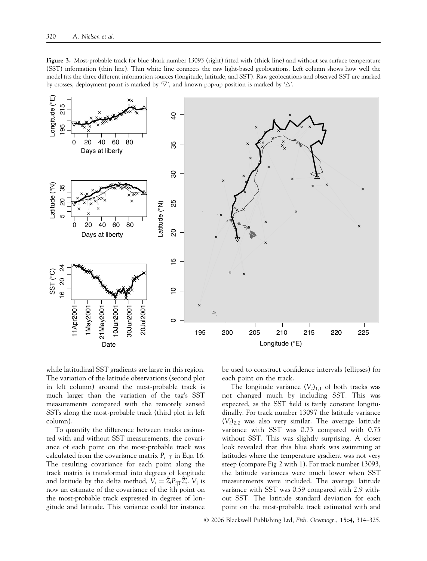Figure 3. Most-probable track for blue shark number 13093 (right) fitted with (thick line) and without sea surface temperature (SST) information (thin line). Thin white line connects the raw light-based geolocations. Left column shows how well the model fits the three different information sources (longitude, latitude, and SST). Raw geolocations and observed SST are marked by crosses, deployment point is marked by ' $\nabla$ ', and known pop-up position is marked by ' $\Delta$ '.



while latitudinal SST gradients are large in this region. The variation of the latitude observations (second plot in left column) around the most-probable track is much larger than the variation of the tag's SST measurements compared with the remotely sensed SSTs along the most-probable track (third plot in left column).

To quantify the difference between tracks estimated with and without SST measurements, the covariance of each point on the most-probable track was calculated from the covariance matrix  $P_{i|T}$  in Eqn 16. The resulting covariance for each point along the track matrix is transformed into degrees of longitude and latitude by the delta method,  $\breve{V}_i = \hat{\mathcal{Z}}_i P_{i|\text{T}} \hat{\mathcal{Z}}_i^\prime$ .  $V_i$  is now an estimate of the covariance of the ith point on the most-probable track expressed in degrees of longitude and latitude. This variance could for instance be used to construct confidence intervals (ellipses) for each point on the track.

The longitude variance  $(V_i)_{1,1}$  of both tracks was not changed much by including SST. This was expected, as the SST field is fairly constant longitudinally. For track number 13097 the latitude variance  $(V_i)_{2,2}$  was also very similar. The average latitude variance with SST was 0.73 compared with 0.75 without SST. This was slightly surprising. A closer look revealed that this blue shark was swimming at latitudes where the temperature gradient was not very steep (compare Fig 2 with 1). For track number 13093, the latitude variances were much lower when SST measurements were included. The average latitude variance with SST was 0.59 compared with 2.9 without SST. The latitude standard deviation for each point on the most-probable track estimated with and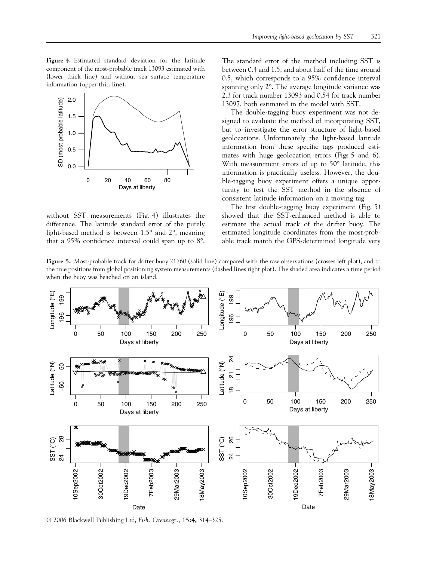Figure 4. Estimated standard deviation for the latitude component of the most-probable track 13093 estimated with (lower thick line) and without sea surface temperature information (upper thin line).

![](_page_7_Figure_2.jpeg)

without SST measurements (Fig. 4) illustrates the difference. The latitude standard error of the purely light-based method is between 1.5° and 2°, meaning that a 95% confidence interval could span up to 8°.

The standard error of the method including SST is between 0.4 and 1.5, and about half of the time around 0.5, which corresponds to a 95% confidence interval spanning only 2°. The average longitude variance was 2.3 for track number 13093 and 0.54 for track number 13097, both estimated in the model with SST.

The double-tagging buoy experiment was not designed to evaluate the method of incorporating SST, but to investigate the error structure of light-based geolocations. Unfortunately the light-based latitude information from these specific tags produced estimates with huge geolocation errors (Figs 5 and 6). With measurement errors of up to  $50^{\circ}$  latitude, this information is practically useless. However, the double-tagging buoy experiment offers a unique opportunity to test the SST method in the absence of consistent latitude information on a moving tag.

The first double-tagging buoy experiment (Fig. 5) showed that the SST-enhanced method is able to estimate the actual track of the drifter buoy. The estimated longitude coordinates from the most-probable track match the GPS-determined longitude very

Figure 5. Most-probable track for drifter buoy 21760 (solid line) compared with the raw observations (crosses left plot), and to the true positions from global positioning system measurements (dashed lines right plot). The shaded area indicates a time period when the buoy was beached on an island.

![](_page_7_Figure_8.jpeg)

2006 Blackwell Publishing Ltd, Fish. Oceanogr., 15:4, 314–325.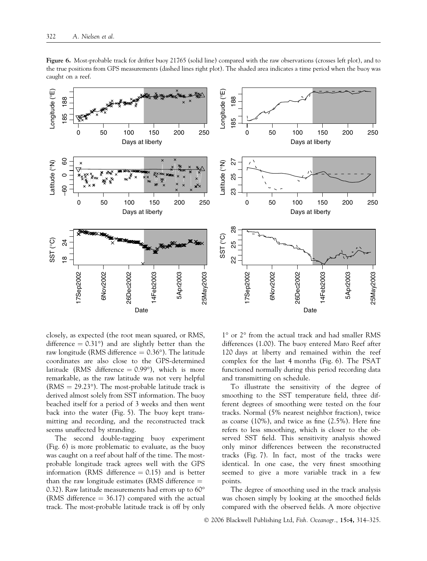![](_page_8_Figure_1.jpeg)

![](_page_8_Figure_2.jpeg)

closely, as expected (the root mean squared, or RMS, difference  $= 0.31^{\circ}$ ) and are slightly better than the raw longitude (RMS difference = 0.36°). The latitude coordinates are also close to the GPS-determined latitude (RMS difference = 0.99°), which is more remarkable, as the raw latitude was not very helpful  $(RMS = 29.23^{\circ})$ . The most-probable latitude track is derived almost solely from SST information. The buoy beached itself for a period of 3 weeks and then went back into the water (Fig. 5). The buoy kept transmitting and recording, and the reconstructed track seems unaffected by stranding.

The second double-tagging buoy experiment (Fig. 6) is more problematic to evaluate, as the buoy was caught on a reef about half of the time. The mostprobable longitude track agrees well with the GPS information (RMS difference  $= 0.15$ ) and is better than the raw longitude estimates (RMS difference  $=$ 0.32). Raw latitude measurements had errors up to 60° (RMS difference  $= 36.17$ ) compared with the actual track. The most-probable latitude track is off by only

1° or 2° from the actual track and had smaller RMS differences (1.00). The buoy entered Maro Reef after 120 days at liberty and remained within the reef complex for the last 4 months (Fig. 6). The PSAT functioned normally during this period recording data and transmitting on schedule.

To illustrate the sensitivity of the degree of smoothing to the SST temperature field, three different degrees of smoothing were tested on the four tracks. Normal (5% nearest neighbor fraction), twice as coarse (10%), and twice as fine (2.5%). Here fine refers to less smoothing, which is closer to the observed SST field. This sensitivity analysis showed only minor differences between the reconstructed tracks (Fig. 7). In fact, most of the tracks were identical. In one case, the very finest smoothing seemed to give a more variable track in a few points.

The degree of smoothing used in the track analysis was chosen simply by looking at the smoothed fields compared with the observed fields. A more objective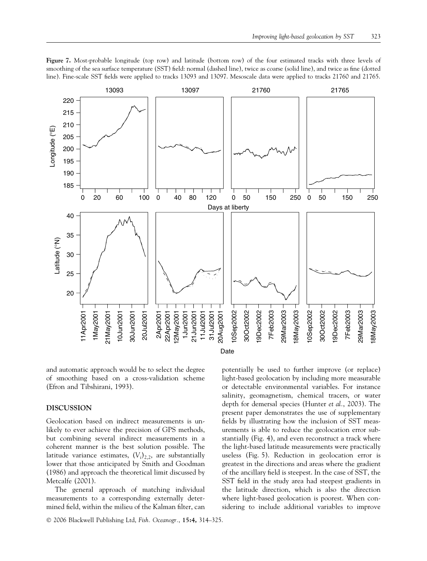![](_page_9_Figure_1.jpeg)

Figure 7. Most-probable longitude (top row) and latitude (bottom row) of the four estimated tracks with three levels of smoothing of the sea surface temperature (SST) field: normal (dashed line), twice as coarse (solid line), and twice as fine (dotted line). Fine-scale SST fields were applied to tracks 13093 and 13097. Mesoscale data were applied to tracks 21760 and 21765.

and automatic approach would be to select the degree of smoothing based on a cross-validation scheme (Efron and Tibshirani, 1993).

## DISCUSSION

Geolocation based on indirect measurements is unlikely to ever achieve the precision of GPS methods, but combining several indirect measurements in a coherent manner is the best solution possible. The latitude variance estimates,  $(V_i)_{2,2}$ , are substantially lower that those anticipated by Smith and Goodman (1986) and approach the theoretical limit discussed by Metcalfe (2001).

The general approach of matching individual measurements to a corresponding externally determined field, within the milieu of the Kalman filter, can

2006 Blackwell Publishing Ltd, Fish. Oceanogr., 15:4, 314–325.

potentially be used to further improve (or replace) light-based geolocation by including more measurable or detectable environmental variables. For instance salinity, geomagnetism, chemical tracers, or water depth for demersal species (Hunter et al., 2003). The present paper demonstrates the use of supplementary fields by illustrating how the inclusion of SST measurements is able to reduce the geolocation error substantially (Fig. 4), and even reconstruct a track where the light-based latitude measurements were practically useless (Fig. 5). Reduction in geolocation error is greatest in the directions and areas where the gradient of the ancillary field is steepest. In the case of SST, the SST field in the study area had steepest gradients in the latitude direction, which is also the direction where light-based geolocation is poorest. When considering to include additional variables to improve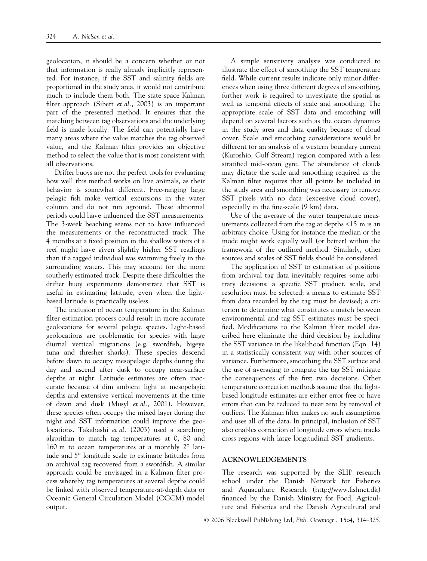geolocation, it should be a concern whether or not that information is really already implicitly represented. For instance, if the SST and salinity fields are proportional in the study area, it would not contribute much to include them both. The state space Kalman filter approach (Sibert et al., 2003) is an important part of the presented method. It ensures that the matching between tag observations and the underlying field is made locally. The field can potentially have many areas where the value matches the tag observed value, and the Kalman filter provides an objective method to select the value that is most consistent with all observations.

Drifter buoys are not the perfect tools for evaluating how well this method works on live animals, as their behavior is somewhat different. Free-ranging large pelagic fish make vertical excursions in the water column and do not run aground. These abnormal periods could have influenced the SST measurements. The 3-week beaching seems not to have influenced the measurements or the reconstructed track. The 4 months at a fixed position in the shallow waters of a reef might have given slightly higher SST readings than if a tagged individual was swimming freely in the surrounding waters. This may account for the more southerly estimated track. Despite these difficulties the drifter buoy experiments demonstrate that SST is useful in estimating latitude, even when the lightbased latitude is practically useless.

The inclusion of ocean temperature in the Kalman filter estimation process could result in more accurate geolocations for several pelagic species. Light-based geolocations are problematic for species with large diurnal vertical migrations (e.g. swordfish, bigeye tuna and thresher sharks). These species descend before dawn to occupy mesopelagic depths during the day and ascend after dusk to occupy near-surface depths at night. Latitude estimates are often inaccurate because of dim ambient light at mesopelagic depths and extensive vertical movements at the time of dawn and dusk (Musyl et al., 2001). However, these species often occupy the mixed layer during the night and SST information could improve the geolocations. Takahashi et al. (2003) used a searching algorithm to match tag temperatures at 0, 80 and 160 m to ocean temperatures at a monthly  $2^{\circ}$  latitude and 5° longitude scale to estimate latitudes from an archival tag recovered from a swordfish. A similar approach could be envisaged in a Kalman filter process whereby tag temperatures at several depths could be linked with observed temperature-at-depth data or Oceanic General Circulation Model (OGCM) model output.

A simple sensitivity analysis was conducted to illustrate the effect of smoothing the SST temperature field. While current results indicate only minor differences when using three different degrees of smoothing, further work is required to investigate the spatial as well as temporal effects of scale and smoothing. The appropriate scale of SST data and smoothing will depend on several factors such as the ocean dynamics in the study area and data quality because of cloud cover. Scale and smoothing considerations would be different for an analysis of a western boundary current (Kuroshio, Gulf Stream) region compared with a less stratified mid-ocean gyre. The abundance of clouds may dictate the scale and smoothing required as the Kalman filter requires that all points be included in the study area and smoothing was necessary to remove SST pixels with no data (excessive cloud cover), especially in the fine-scale (9 km) data.

Use of the average of the water temperature measurements collected from the tag at depths <15 m is an arbitrary choice. Using for instance the median or the mode might work equally well (or better) within the framework of the outlined method. Similarly, other sources and scales of SST fields should be considered.

The application of SST to estimation of positions from archival tag data inevitably requires some arbitrary decisions: a specific SST product, scale, and resolution must be selected; a means to estimate SST from data recorded by the tag must be devised; a criterion to determine what constitutes a match between environmental and tag SST estimates must be specified. Modifications to the Kalman filter model described here eliminate the third decision by including the SST variance in the likelihood function (Eqn 14) in a statistically consistent way with other sources of variance. Furthermore, smoothing the SST surface and the use of averaging to compute the tag SST mitigate the consequences of the first two decisions. Other temperature correction methods assume that the lightbased longitude estimates are either error free or have errors that can be reduced to near zero by removal of outliers. The Kalman filter makes no such assumptions and uses all of the data. In principal, inclusion of SST also enables correction of longitude errors where tracks cross regions with large longitudinal SST gradients.

#### ACKNOWLEDGEMENTS

The research was supported by the SLIP research school under the Danish Network for Fisheries and Aquaculture Research (http://www.fishnet.dk) financed by the Danish Ministry for Food, Agriculture and Fisheries and the Danish Agricultural and